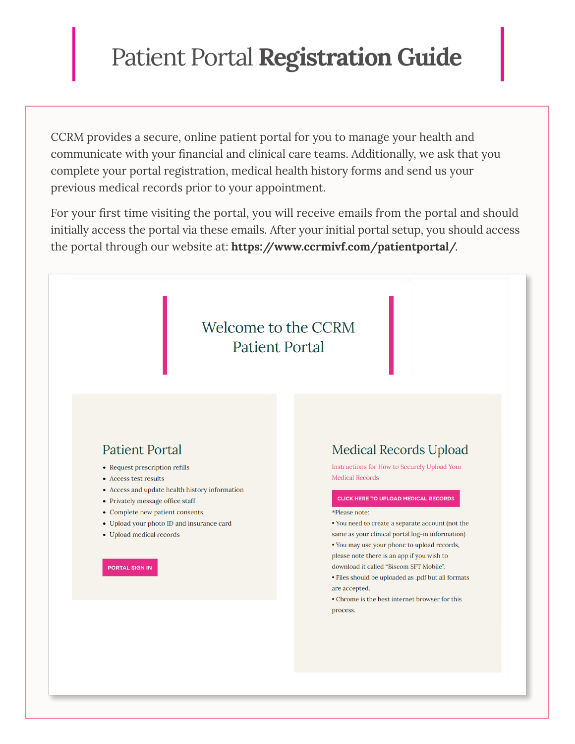## Patient Portal **Registration Guide**

CCRM provides a secure, online patient portal for you to manage your health and communicate with your financial and clinical care teams. Additionally, we ask that you complete your portal registration, medical health history forms and send us your previous medical records prior to your appointment.

For your first time visiting the portal, you will receive emails from the portal and should initially access the portal via these emails. After your initial portal setup, you should access the portal through our website at: **[https://www.ccrmivf.com/patientportal/](https://www.ccrmivf.com/patientportal/.)**.

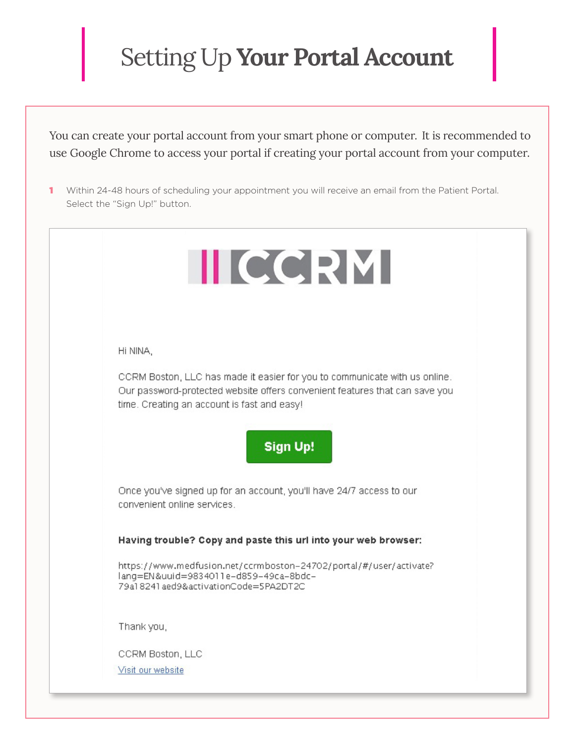## Setting Up **Your Portal Account**

You can create your portal account from your smart phone or computer. It is recommended to use Google Chrome to access your portal if creating your portal account from your computer.

1 Within 24-48 hours of scheduling your appointment you will receive an email from the Patient Portal. Select the "Sign Up!" button.

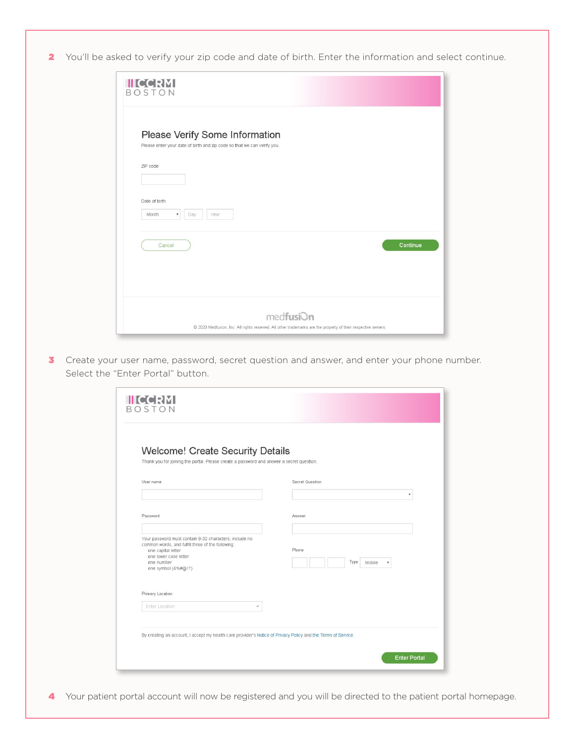2 You'll be asked to verify your zip code and date of birth. Enter the information and select continue.

| <b>IIICCRM</b><br><b>BOSTON</b>                                                                                                     |
|-------------------------------------------------------------------------------------------------------------------------------------|
| Please Verify Some Information<br>Please enter your date of birth and zip code so that we can verify you.<br>ZIP code               |
| Date of birth<br>Month<br>$\overline{\mathbf{v}}$<br>Day<br>Year                                                                    |
| Continue<br>Cancel                                                                                                                  |
| med <b>fusi</b> On<br>@ 2020 Medfusion, Inc. All rights reserved. All other trademarks are the property of their respective owners. |

<sup>3</sup> Create your user name, password, secret question and answer, and enter your phone number. Select the "Enter Portal" button.

| ۷                   |
|---------------------|
|                     |
|                     |
|                     |
|                     |
|                     |
| Type<br>Mobile<br>٧ |
|                     |
|                     |
|                     |
|                     |
|                     |

4 Your patient portal account will now be registered and you will be directed to the patient portal homepage.